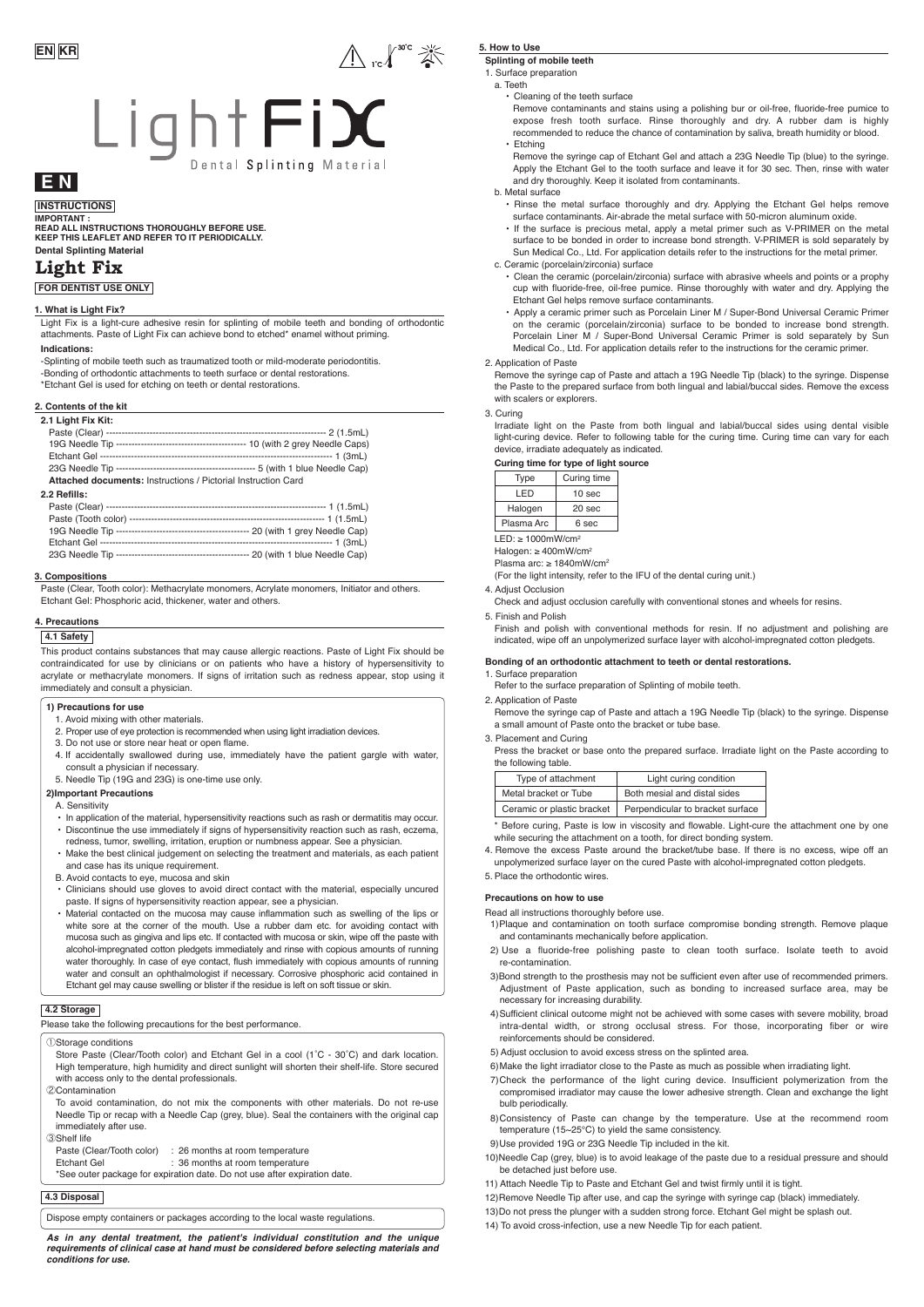

## **E N**

**INSTRUCTIONS IMPORTANT :**

**Dental Splinting Material READ ALL INSTRUCTIONS THOROUGHLY BEFORE USE. KEEP THIS LEAFLET AND REFER TO IT PERIODICALLY.** 

### **Light Fix**

**FOR DENTIST USE ONLY**

### **1. What is Light Fix?**

Light Fix is a light-cure adhesive resin for splinting of mobile teeth and bonding of orthodontic attachments. Paste of Light Fix can achieve bond to etched\* enamel without priming.

#### **Indications:**

-Splinting of mobile teeth such as traumatized tooth or mild-moderate periodontitis. -Bonding of orthodontic attachments to teeth surface or dental restorations.

\*Etchant Gel is used for etching on teeth or dental restorations.

### **2. Contents of the kit**

| 2.1 Light Fix Kit:                                            |  |
|---------------------------------------------------------------|--|
|                                                               |  |
|                                                               |  |
|                                                               |  |
|                                                               |  |
| Attached documents: Instructions / Pictorial Instruction Card |  |

#### **2.2 Refills:**

#### **3. Compositions**

Paste (Clear, Tooth color): Methacrylate monomers, Acrylate monomers, Initiator and others. Etchant Gel: Phosphoric acid, thickener, water and others.

#### **4. Precautions**

### **4.1 Safety**

This product contains substances that may cause allergic reactions. Paste of Light Fix should be contraindicated for use by clinicians or on patients who have a history of hypersensitivity to acrylate or methacrylate monomers. If signs of irritation such as redness appear, stop using it immediately and consult a physician.

### **1) Precautions for use**

- 1. Avoid mixing with other materials. 2. Proper use of eye protection is recommended when using light irradiation devices.
- 3. Do not use or store near heat or open flame.
- 4. If accidentally swallowed during use, immediately have the patient gargle with water, consult a physician if necessary.
- 5. Needle Tip (19G and 23G) is one-time use only.

### **2)Important Precautions**

A. Sensitivity

- In application of the material, hypersensitivity reactions such as rash or dermatitis may occur. • Discontinue the use immediately if signs of hypersensitivity reaction such as rash, eczema, redness, tumor, swelling, irritation, eruption or numbness appear. See a physician.
- Make the best clinical judgement on selecting the treatment and materials, as each patient
- and case has its unique requirement. B. Avoid contacts to eye, mucosa and skin
- Clinicians should use gloves to avoid direct contact with the material, especially uncured paste. If signs of hypersensitivity reaction appear, see a physician.
- Material contacted on the mucosa may cause inflammation such as swelling of the lips or white sore at the corner of the mouth. Use a rubber dam etc. for avoiding contact with mucosa such as gingiva and lips etc. If contacted with mucosa or skin, wipe off the paste with alcohol-impregnated cotton pledgets immediately and rinse with copious amounts of running water thoroughly. In case of eye contact, flush immediately with copious amounts of running water and consult an ophthalmologist if necessary. Corrosive phosphoric acid contained in Etchant gel may cause swelling or blister if the residue is left on soft tissue or skin.

### **4.2 Storage**

|  |  |  | Please take the following precautions for the best performance. |
|--|--|--|-----------------------------------------------------------------|
|  |  |  |                                                                 |

### ①Storage conditions

Store Paste (Clear/Tooth color) and Etchant Gel in a cool (1˚C - 30˚C) and dark location. High temperature, high humidity and direct sunlight will shorten their shelf-life. Store secured with access only to the dental professionals.

②Contamination

To avoid contamination, do not mix the components with other materials. Do not re-use Needle Tip or recap with a Needle Cap (grey, blue). Seal the containers with the original cap immediately after use.

| (3)Shelf life             |                                 |
|---------------------------|---------------------------------|
| Paste (Clear/Tooth color) | : 26 months at room temperature |
| Etchant Gel               | : 36 months at room temperature |

\*See outer package for expiration date. Do not use after expiration date.

### **4.3 Disposal**

Dispose empty containers or packages according to the local waste regulations.

#### *As in any dental treatment, the patient's individual constitution and the unique requirements of clinical case at hand must be considered before selecting materials and conditions for use.*

### **5. How to Use**

 $\bigwedge_{\mathsf{rc}} \bigwedge^{\mathsf{acc}} \mathbb{Z}^{\mathbb{C}}$ 

**Splinting of mobile teeth**

1. Surface preparation a. Teeth

• Cleaning of the teeth surface

- Remove contaminants and stains using a polishing bur or oil-free, fluoride-free pumice to expose fresh tooth surface. Rinse thoroughly and dry. A rubber dam is highly recommended to reduce the chance of contamination by saliva, breath humidity or blood. • Etching
- Remove the syringe cap of Etchant Gel and attach a 23G Needle Tip (blue) to the syringe. Apply the Etchant Gel to the tooth surface and leave it for 30 sec. Then, rinse with water and dry thoroughly. Keep it isolated from contaminants.

b. Metal surface

- Rinse the metal surface thoroughly and dry. Applying the Etchant Gel helps remove surface contaminants. Air-abrade the metal surface with 50-micron aluminum oxide.
- If the surface is precious metal, apply a metal primer such as V-PRIMER on the metal surface to be bonded in order to increase bond strength. V-PRIMER is sold separately by Sun Medical Co., Ltd. For application details refer to the instructions for the metal primer c. Ceramic (porcelain/zirconia) surface
	- Clean the ceramic (porcelain/zirconia) surface with abrasive wheels and points or a prophy cup with fluoride-free, oil-free pumice. Rinse thoroughly with water and dry. Applying the Etchant Gel helps remove surface contaminants.
- Apply a ceramic primer such as Porcelain Liner M / Super-Bond Universal Ceramic Primer on the ceramic (porcelain/zirconia) surface to be bonded to increase bond strength. Porcelain Liner M / Super-Bond Universal Ceramic Primer is sold separately by Sun Medical Co., Ltd. For application details refer to the instructions for the ceramic primer.

### 2. Application of Paste

Remove the syringe cap of Paste and attach a 19G Needle Tip (black) to the syringe. Dispense the Paste to the prepared surface from both lingual and labial/buccal sides. Remove the excess with scalers or explorers.

3. Curing

Irradiate light on the Paste from both lingual and labial/buccal sides using dental visible light-curing device. Refer to following table for the curing time. Curing time can vary for each device, irradiate adequately as indicated.

| Type                                   | Curing time |  |  |
|----------------------------------------|-------------|--|--|
| LED                                    | 10 sec      |  |  |
| Halogen                                | 20 sec      |  |  |
| Plasma Arc<br>6 sec                    |             |  |  |
| $LED: \geq 1000$ mW/cm <sup>2</sup>    |             |  |  |
| Halogen: $\geq 400$ mW/cm <sup>2</sup> |             |  |  |

Plasma arc: ≥ 1840mW/cm<sup>2</sup>

(For the light intensity, refer to the IFU of the dental curing unit.)

4. Adjust Occlusion

Check and adjust occlusion carefully with conventional stones and wheels for resins.

5. Finish and Polish

Finish and polish with conventional methods for resin. If no adjustment and polishing are indicated, wipe off an unpolymerized surface layer with alcohol-impregnated cotton pledgets.

### **Bonding of an orthodontic attachment to teeth or dental restorations.**

1. Surface preparation Refer to the surface preparation of Splinting of mobile teeth.

2. Application of Paste

- Remove the syringe cap of Paste and attach a 19G Needle Tip (black) to the syringe. Dispense a small amount of Paste onto the bracket or tube base.
- 3. Placement and Curing

Press the bracket or base onto the prepared surface. Irradiate light on the Paste according to the following table.

| Type of attachment |                            | Light curing condition           |
|--------------------|----------------------------|----------------------------------|
|                    | Metal bracket or Tube      | Both mesial and distal sides     |
|                    | Ceramic or plastic bracket | Perpendicular to bracket surface |

\* Before curing, Paste is low in viscosity and flowable. Light-cure the attachment one by one while securing the attachment on a tooth, for direct bonding system.

4. Remove the excess Paste around the bracket/tube base. If there is no excess, wipe off an unpolymerized surface layer on the cured Paste with alcohol-impregnated cotton pledgets.

5. Place the orthodontic wires.

### **Precautions on how to use**

Read all instructions thoroughly before use.

- 1)Plaque and contamination on tooth surface compromise bonding strength. Remove plaque and contaminants mechanically before application.
- 2) Use a fluoride-free polishing paste to clean tooth surface. Isolate teeth to avoid re-contamination.
- 3)Bond strength to the prosthesis may not be sufficient even after use of recommended primers. Adjustment of Paste application, such as bonding to increased surface area, may be necessary for increasing durability.
- 4)Sufficient clinical outcome might not be achieved with some cases with severe mobility, broad intra-dental width, or strong occlusal stress. For those, incorporating fiber or wire reinforcements should be considered.
- 5) Adjust occlusion to avoid excess stress on the splinted area.
- 6)Make the light irradiator close to the Paste as much as possible when irradiating light.
- 7)Check the performance of the light curing device. Insufficient polymerization from the compromised irradiator may cause the lower adhesive strength. Clean and exchange the light bulb periodically.
- 8)Consistency of Paste can change by the temperature. Use at the recommend room temperature (15~25℃) to yield the same consistency.
- 9)Use provided 19G or 23G Needle Tip included in the kit.
- 10)Needle Cap (grey, blue) is to avoid leakage of the paste due to a residual pressure and should be detached just before use.
- 11) Attach Needle Tip to Paste and Etchant Gel and twist firmly until it is tight.
- 12)Remove Needle Tip after use, and cap the syringe with syringe cap (black) immediately.
- 13)Do not press the plunger with a sudden strong force. Etchant Gel might be splash out.
- 14) To avoid cross-infection, use a new Needle Tip for each patient.

**Curing time for type of light source**

| 1 Y N V                 | ບunny ເກກບ        |  |  |
|-------------------------|-------------------|--|--|
| I FD                    | 10 <sub>sec</sub> |  |  |
| Halogen                 | 20 <sub>sec</sub> |  |  |
| Plasma Arc<br>6 sec     |                   |  |  |
| $LED: \geq 1000mW/cm^2$ |                   |  |  |